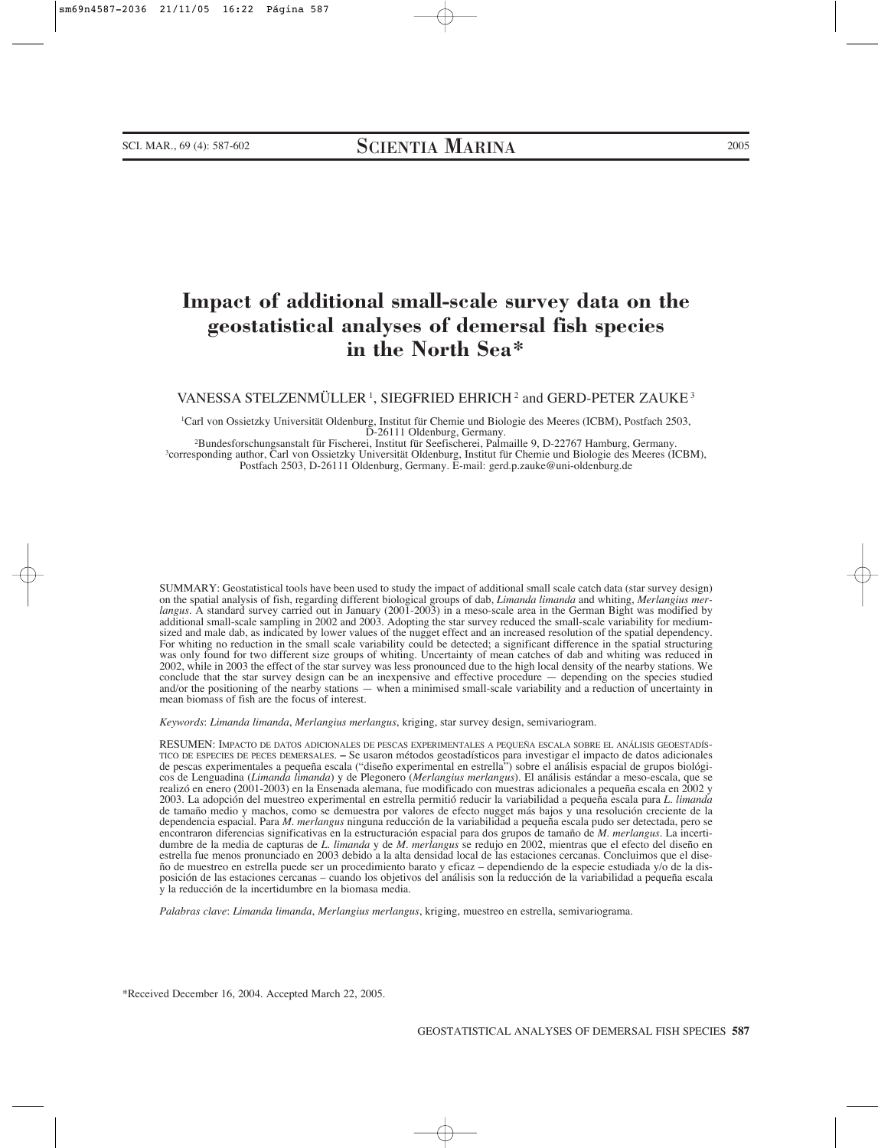# **Impact of additional small-scale survey data on the geostatistical analyses of demersal fish species in the North Sea\***

VANESSA STELZENMÜLLER<sup>1</sup>, SIEGFRIED EHRICH<sup>2</sup> and GERD-PETER ZAUKE<sup>3</sup>

1 Carl von Ossietzky Universität Oldenburg, Institut für Chemie und Biologie des Meeres (ICBM), Postfach 2503,

D-26111 Oldenburg, Germany.<br>Pundesforschungsanstalt für Fischerei, Institut für Seefischerei, Palmaille 9, D-22767 Hamburg, Germany.<br>Corresponding author, Carl von Ossietzky Universität Oldenburg, Institut für Chemie und B Postfach 2503, D-26111 Oldenburg, Germany. E-mail: gerd.p.zauke@uni-oldenburg.de

SUMMARY: Geostatistical tools have been used to study the impact of additional small scale catch data (star survey design) on the spatial analysis of fish, regarding different biological groups of dab, *Limanda limanda* and whiting, *Merlangius merlangus*. A standard survey carried out in January (2001-2003) in a meso-scale area in the German Bight was modified by additional small-scale sampling in 2002 and 2003. Adopting the star survey reduced the small-scale variability for mediumsized and male dab, as indicated by lower values of the nugget effect and an increased resolution of the spatial dependency. For whiting no reduction in the small scale variability could be detected; a significant difference in the spatial structuring was only found for two different size groups of whiting. Uncertainty of mean catches of dab and whiting was reduced in 2002, while in 2003 the effect of the star survey was less pronounced due to the high local density of the nearby stations. We conclude that the star survey design can be an inexpensive and effective procedure — depending on the species studied and/or the positioning of the nearby stations — when a minimised small-scale variability and a reduction of uncertainty in mean biomass of fish are the focus of interest.

*Keywords*: *Limanda limanda*, *Merlangius merlangus*, kriging, star survey design, semivariogram.

RESUMEN: IMPACTO DE DATOS ADICIONALES DE PESCAS EXPERIMENTALES A PEQUEÑA ESCALA SOBRE EL ANÁLISIS GEOESTADÍS-TICO DE ESPECIES DE PECES DEMERSALES. **–** Se usaron métodos geostadísticos para investigar el impacto de datos adicionales de pescas experimentales a pequeña escala ("diseño experimental en estrella") sobre el análisis espacial de grupos biológicos de Lenguadina (*Limanda limanda*) y de Plegonero (*Merlangius merlangus*). El análisis estándar a meso-escala, que se realizó en enero (2001-2003) en la Ensenada alemana, fue modificado con muestras adicionales a pequeña escala en 2002 y 2003. La adopción del muestreo experimental en estrella permitió reducir la variabilidad a pequeña escala para *L. limanda* de tamaño medio y machos, como se demuestra por valores de efecto nugget más bajos y una resolución creciente de la dependencia espacial. Para *M. merlangus* ninguna reducción de la variabilidad a pequeña escala pudo ser detectada, pero se encontraron diferencias significativas en la estructuración espacial para dos grupos de tamaño de *M. merlangus*. La incertidumbre de la media de capturas de *L. limanda* y de *M. merlangus* se redujo en 2002, mientras que el efecto del diseño en estrella fue menos pronunciado en 2003 debido a la alta densidad local de las estaciones cercanas. Concluimos que el diseño de muestreo en estrella puede ser un procedimiento barato y eficaz – dependiendo de la especie estudiada y/o de la disposición de las estaciones cercanas – cuando los objetivos del análisis son la reducción de la variabilidad a pequeña escala y la reducción de la incertidumbre en la biomasa media.

*Palabras clave*: *Limanda limanda*, *Merlangius merlangus*, kriging, muestreo en estrella, semivariograma.

\*Received December 16, 2004. Accepted March 22, 2005.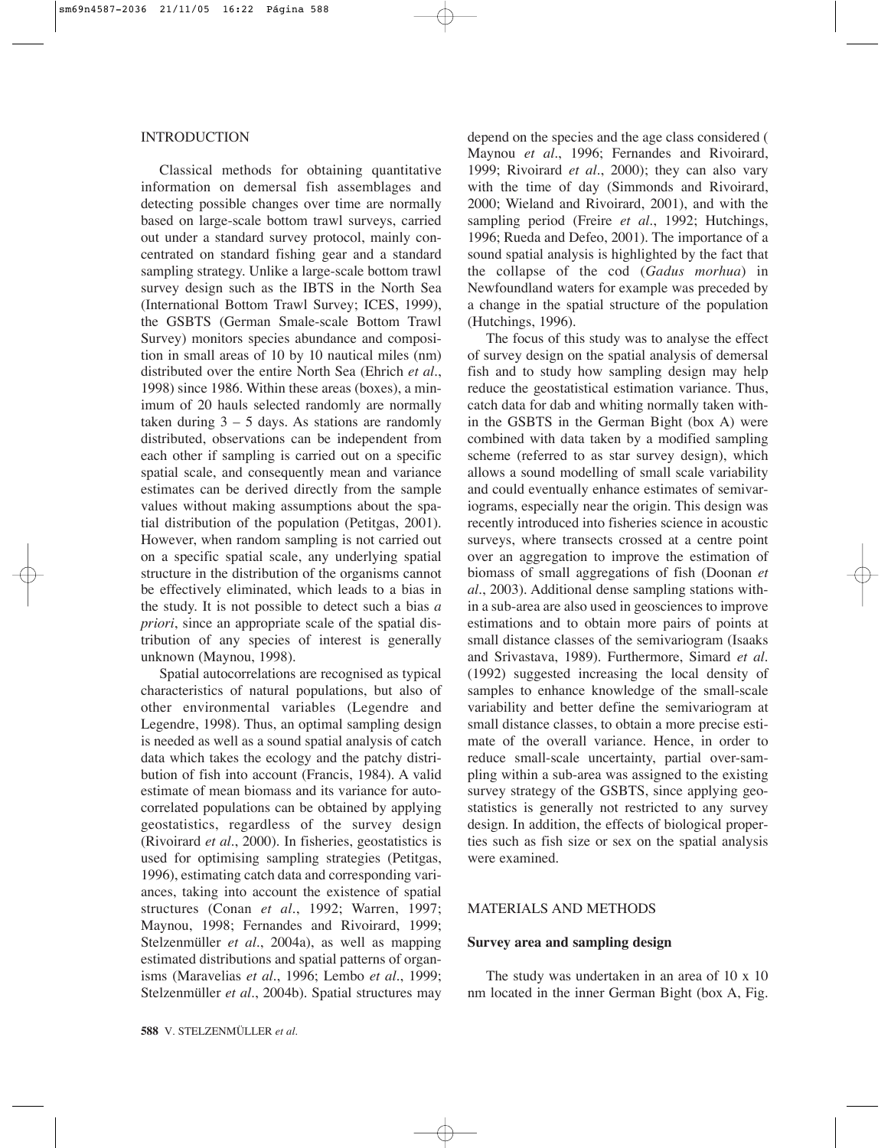# INTRODUCTION

Classical methods for obtaining quantitative information on demersal fish assemblages and detecting possible changes over time are normally based on large-scale bottom trawl surveys, carried out under a standard survey protocol, mainly concentrated on standard fishing gear and a standard sampling strategy. Unlike a large-scale bottom trawl survey design such as the IBTS in the North Sea (International Bottom Trawl Survey; ICES, 1999), the GSBTS (German Smale-scale Bottom Trawl Survey) monitors species abundance and composition in small areas of 10 by 10 nautical miles (nm) distributed over the entire North Sea (Ehrich *et al.*, 1998) since 1986. Within these areas (boxes), a minimum of 20 hauls selected randomly are normally taken during  $3 - 5$  days. As stations are randomly distributed, observations can be independent from each other if sampling is carried out on a specific spatial scale, and consequently mean and variance estimates can be derived directly from the sample values without making assumptions about the spatial distribution of the population (Petitgas, 2001). However, when random sampling is not carried out on a specific spatial scale, any underlying spatial structure in the distribution of the organisms cannot be effectively eliminated, which leads to a bias in the study. It is not possible to detect such a bias *a priori*, since an appropriate scale of the spatial distribution of any species of interest is generally unknown (Maynou, 1998).

Spatial autocorrelations are recognised as typical characteristics of natural populations, but also of other environmental variables (Legendre and Legendre, 1998). Thus, an optimal sampling design is needed as well as a sound spatial analysis of catch data which takes the ecology and the patchy distribution of fish into account (Francis, 1984). A valid estimate of mean biomass and its variance for autocorrelated populations can be obtained by applying geostatistics, regardless of the survey design (Rivoirard *et al.*, 2000). In fisheries, geostatistics is used for optimising sampling strategies (Petitgas, 1996), estimating catch data and corresponding variances, taking into account the existence of spatial structures (Conan *et al.*, 1992; Warren, 1997; Maynou, 1998; Fernandes and Rivoirard, 1999; Stelzenmüller *et al.*, 2004a), as well as mapping estimated distributions and spatial patterns of organisms (Maravelias *et al.*, 1996; Lembo *et al.*, 1999; Stelzenmüller *et al.*, 2004b). Spatial structures may depend on the species and the age class considered ( Maynou *et al.*, 1996; Fernandes and Rivoirard, 1999; Rivoirard *et al.*, 2000); they can also vary with the time of day (Simmonds and Rivoirard, 2000; Wieland and Rivoirard, 2001), and with the sampling period (Freire *et al.*, 1992; Hutchings, 1996; Rueda and Defeo, 2001). The importance of a sound spatial analysis is highlighted by the fact that the collapse of the cod (*Gadus morhua*) in Newfoundland waters for example was preceded by a change in the spatial structure of the population (Hutchings, 1996).

The focus of this study was to analyse the effect of survey design on the spatial analysis of demersal fish and to study how sampling design may help reduce the geostatistical estimation variance. Thus, catch data for dab and whiting normally taken within the GSBTS in the German Bight (box A) were combined with data taken by a modified sampling scheme (referred to as star survey design), which allows a sound modelling of small scale variability and could eventually enhance estimates of semivariograms, especially near the origin. This design was recently introduced into fisheries science in acoustic surveys, where transects crossed at a centre point over an aggregation to improve the estimation of biomass of small aggregations of fish (Doonan *et al.*, 2003). Additional dense sampling stations within a sub-area are also used in geosciences to improve estimations and to obtain more pairs of points at small distance classes of the semivariogram (Isaaks and Srivastava, 1989). Furthermore, Simard *et al.* (1992) suggested increasing the local density of samples to enhance knowledge of the small-scale variability and better define the semivariogram at small distance classes, to obtain a more precise estimate of the overall variance. Hence, in order to reduce small-scale uncertainty, partial over-sampling within a sub-area was assigned to the existing survey strategy of the GSBTS, since applying geostatistics is generally not restricted to any survey design. In addition, the effects of biological properties such as fish size or sex on the spatial analysis were examined.

# MATERIALS AND METHODS

# **Survey area and sampling design**

The study was undertaken in an area of 10 x 10 nm located in the inner German Bight (box A, Fig.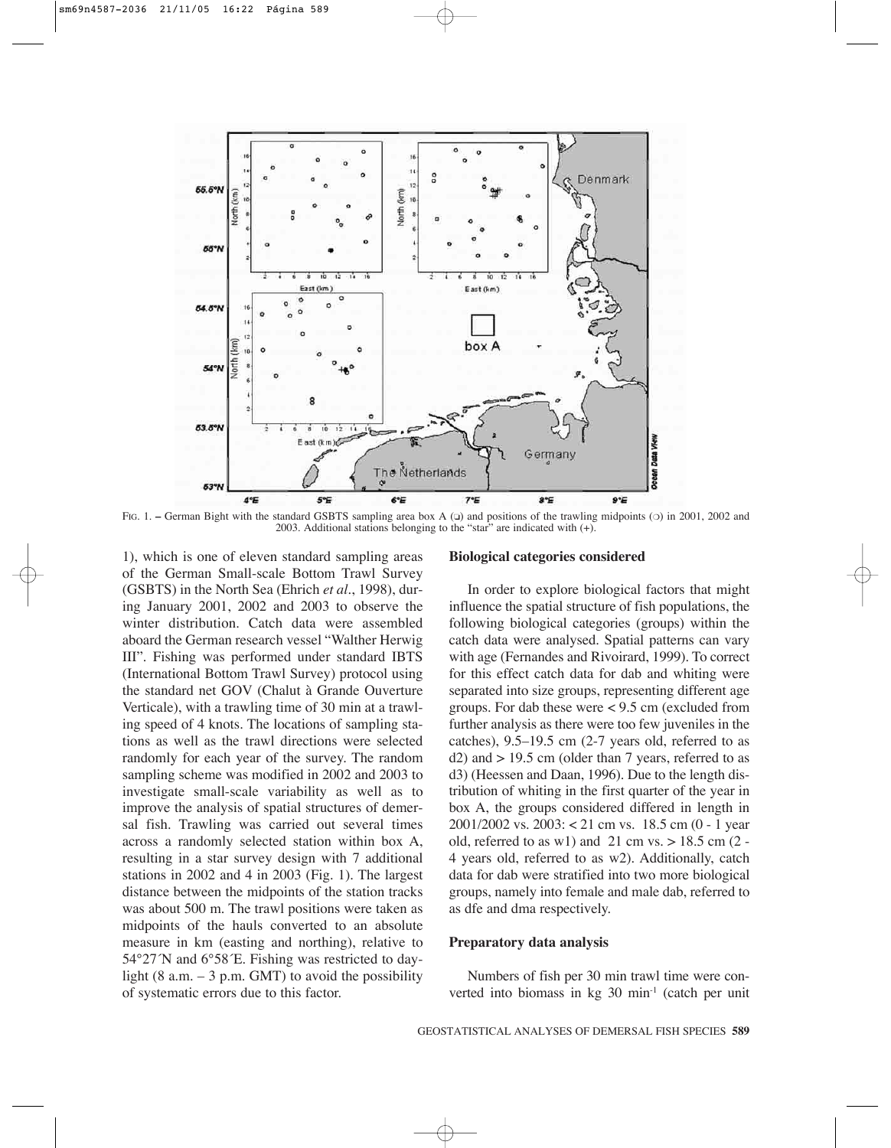

FIG. 1. – German Bight with the standard GSBTS sampling area box A ( $\Box$ ) and positions of the trawling midpoints ( $\odot$ ) in 2001, 2002 and 2003. Additional stations belonging to the "star" are indicated with  $(+)$ .

1), which is one of eleven standard sampling areas of the German Small-scale Bottom Trawl Survey (GSBTS) in the North Sea (Ehrich *et al.*, 1998), during January 2001, 2002 and 2003 to observe the winter distribution. Catch data were assembled aboard the German research vessel "Walther Herwig III". Fishing was performed under standard IBTS (International Bottom Trawl Survey) protocol using the standard net GOV (Chalut à Grande Ouverture Verticale), with a trawling time of 30 min at a trawling speed of 4 knots. The locations of sampling stations as well as the trawl directions were selected randomly for each year of the survey. The random sampling scheme was modified in 2002 and 2003 to investigate small-scale variability as well as to improve the analysis of spatial structures of demersal fish. Trawling was carried out several times across a randomly selected station within box A, resulting in a star survey design with 7 additional stations in 2002 and 4 in 2003 (Fig. 1). The largest distance between the midpoints of the station tracks was about 500 m. The trawl positions were taken as midpoints of the hauls converted to an absolute measure in km (easting and northing), relative to 54°27´N and 6°58´E. Fishing was restricted to daylight (8 a.m.  $-3$  p.m. GMT) to avoid the possibility of systematic errors due to this factor.

#### **Biological categories considered**

In order to explore biological factors that might influence the spatial structure of fish populations, the following biological categories (groups) within the catch data were analysed. Spatial patterns can vary with age (Fernandes and Rivoirard, 1999). To correct for this effect catch data for dab and whiting were separated into size groups, representing different age groups. For dab these were < 9.5 cm (excluded from further analysis as there were too few juveniles in the catches), 9.5–19.5 cm (2-7 years old, referred to as  $d2$ ) and  $> 19.5$  cm (older than 7 years, referred to as d3) (Heessen and Daan, 1996). Due to the length distribution of whiting in the first quarter of the year in box A, the groups considered differed in length in 2001/2002 vs. 2003: < 21 cm vs. 18.5 cm (0 - 1 year old, referred to as w1) and 21 cm vs.  $> 18.5$  cm (2 -4 years old, referred to as w2). Additionally, catch data for dab were stratified into two more biological groups, namely into female and male dab, referred to as dfe and dma respectively.

## **Preparatory data analysis**

Numbers of fish per 30 min trawl time were converted into biomass in kg 30 min-1 (catch per unit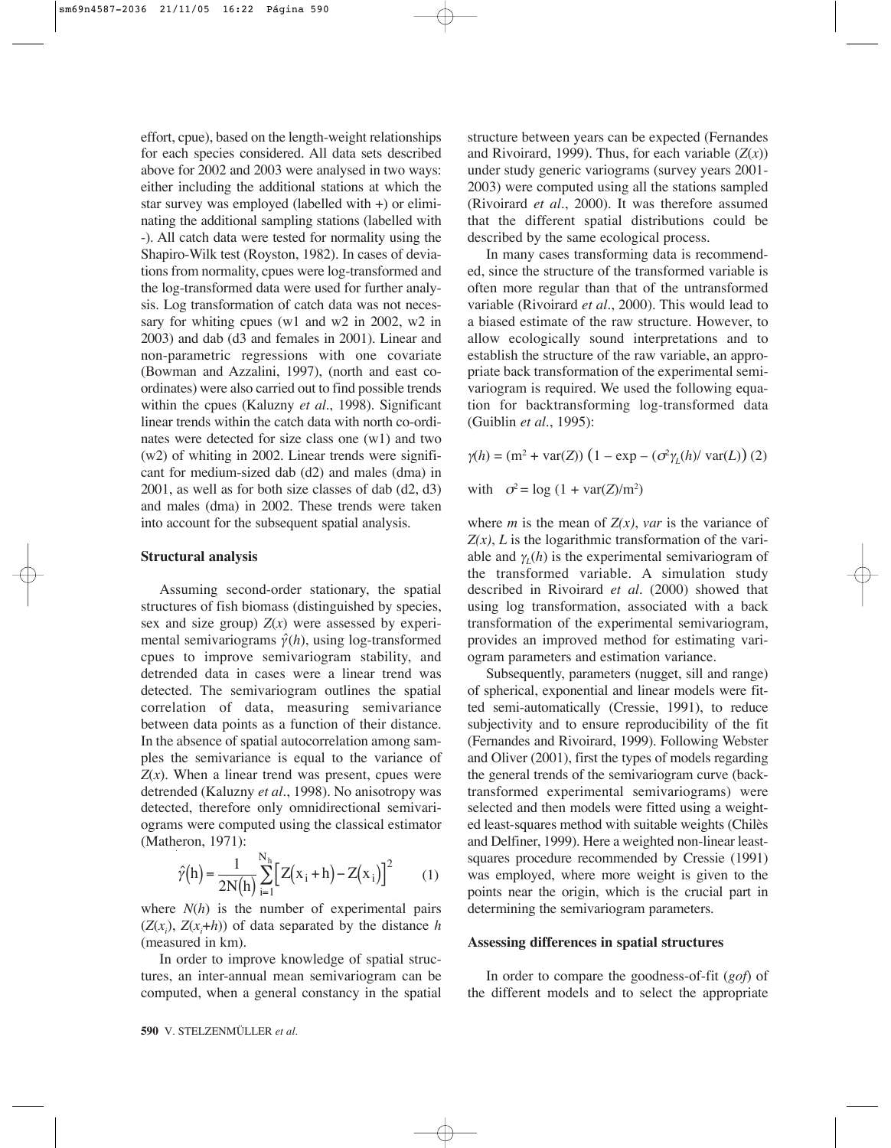effort, cpue), based on the length-weight relationships for each species considered. All data sets described above for 2002 and 2003 were analysed in two ways: either including the additional stations at which the star survey was employed (labelled with +) or eliminating the additional sampling stations (labelled with -). All catch data were tested for normality using the Shapiro-Wilk test (Royston, 1982). In cases of deviations from normality, cpues were log-transformed and the log-transformed data were used for further analysis. Log transformation of catch data was not necessary for whiting cpues (w1 and w2 in 2002, w2 in 2003) and dab (d3 and females in 2001). Linear and non-parametric regressions with one covariate (Bowman and Azzalini, 1997), (north and east coordinates) were also carried out to find possible trends within the cpues (Kaluzny *et al.*, 1998). Significant linear trends within the catch data with north co-ordinates were detected for size class one (w1) and two (w2) of whiting in 2002. Linear trends were significant for medium-sized dab (d2) and males (dma) in 2001, as well as for both size classes of dab (d2, d3) and males (dma) in 2002. These trends were taken into account for the subsequent spatial analysis.

#### **Structural analysis**

Assuming second-order stationary, the spatial structures of fish biomass (distinguished by species, sex and size group)  $Z(x)$  were assessed by experimental semivariograms  $\hat{\gamma}(h)$ , using log-transformed cpues to improve semivariogram stability, and detrended data in cases were a linear trend was detected. The semivariogram outlines the spatial correlation of data, measuring semivariance between data points as a function of their distance. In the absence of spatial autocorrelation among samples the semivariance is equal to the variance of  $Z(x)$ . When a linear trend was present, cpues were detrended (Kaluzny *et al.*, 1998). No anisotropy was detected, therefore only omnidirectional semivariograms were computed using the classical estimator (Matheron, 1971):

$$
\hat{\gamma}(h) = \frac{1}{2N(h)} \sum_{i=1}^{N_h} \left[ Z(x_i + h) - Z(x_i) \right]^2 \tag{1}
$$

where  $N(h)$  is the number of experimental pairs  $(Z(x_i), Z(x_i+h))$  of data separated by the distance *h* (measured in km)*.*

In order to improve knowledge of spatial structures, an inter-annual mean semivariogram can be computed, when a general constancy in the spatial structure between years can be expected (Fernandes and Rivoirard, 1999). Thus, for each variable  $(Z(x))$ under study generic variograms (survey years 2001- 2003) were computed using all the stations sampled (Rivoirard *et al.*, 2000). It was therefore assumed that the different spatial distributions could be described by the same ecological process.

In many cases transforming data is recommended, since the structure of the transformed variable is often more regular than that of the untransformed variable (Rivoirard *et al.*, 2000). This would lead to a biased estimate of the raw structure. However, to allow ecologically sound interpretations and to establish the structure of the raw variable, an appropriate back transformation of the experimental semivariogram is required. We used the following equation for backtransforming log-transformed data (Guiblin *et al.*, 1995):

 $γ(h) = (m<sup>2</sup> + var(Z)) (1 - exp – (σ<sup>2</sup>γ<sub>L</sub>(h)/ var(L)) (2)$ 

with  $\sigma^2 = \log(1 + \text{var}(Z)/m^2)$ 

where *m* is the mean of  $Z(x)$ , *var* is the variance of  $Z(x)$ , *L* is the logarithmic transformation of the variable and  $\gamma$ <sub>*l*</sub>(*h*) is the experimental semivariogram of the transformed variable. A simulation study described in Rivoirard *et al.* (2000) showed that using log transformation, associated with a back transformation of the experimental semivariogram, provides an improved method for estimating variogram parameters and estimation variance.

Subsequently, parameters (nugget, sill and range) of spherical, exponential and linear models were fitted semi-automatically (Cressie, 1991), to reduce subjectivity and to ensure reproducibility of the fit (Fernandes and Rivoirard, 1999). Following Webster and Oliver (2001), first the types of models regarding the general trends of the semivariogram curve (backtransformed experimental semivariograms) were selected and then models were fitted using a weighted least-squares method with suitable weights (Chilès and Delfiner, 1999). Here a weighted non-linear leastsquares procedure recommended by Cressie (1991) was employed, where more weight is given to the points near the origin, which is the crucial part in determining the semivariogram parameters.

## **Assessing differences in spatial structures**

In order to compare the goodness-of-fit (*gof*) of the different models and to select the appropriate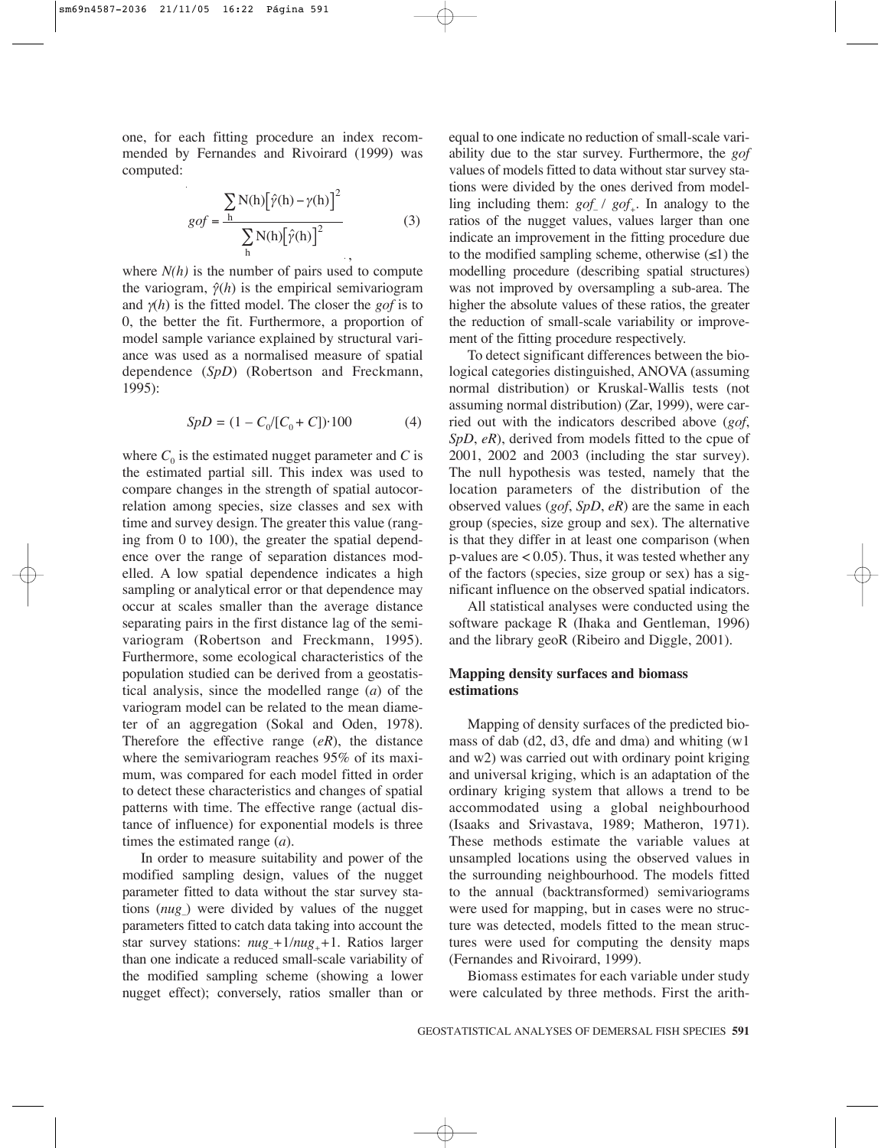one, for each fitting procedure an index recommended by Fernandes and Rivoirard (1999) was computed:

$$
gof = \frac{\sum_{h} N(h) [\hat{\gamma}(h) - \gamma(h)]^2}{\sum_{h} N(h) [\hat{\gamma}(h)]^2}
$$
(3)

where  $N(h)$  is the number of pairs used to compute the variogram,  $\hat{\gamma}(h)$  is the empirical semivariogram and γ(*h*) is the fitted model. The closer the *gof* is to 0, the better the fit. Furthermore, a proportion of model sample variance explained by structural variance was used as a normalised measure of spatial dependence (*SpD*) (Robertson and Freckmann, 1995):

$$
SpD = (1 - C_0/[C_0 + C]) \cdot 100 \tag{4}
$$

where  $C_0$  is the estimated nugget parameter and  $C$  is the estimated partial sill. This index was used to compare changes in the strength of spatial autocorrelation among species, size classes and sex with time and survey design. The greater this value (ranging from 0 to 100), the greater the spatial dependence over the range of separation distances modelled. A low spatial dependence indicates a high sampling or analytical error or that dependence may occur at scales smaller than the average distance separating pairs in the first distance lag of the semivariogram (Robertson and Freckmann, 1995). Furthermore, some ecological characteristics of the population studied can be derived from a geostatistical analysis, since the modelled range (*a*) of the variogram model can be related to the mean diameter of an aggregation (Sokal and Oden, 1978). Therefore the effective range (*eR*), the distance where the semivariogram reaches 95% of its maximum, was compared for each model fitted in order to detect these characteristics and changes of spatial patterns with time. The effective range (actual distance of influence) for exponential models is three times the estimated range (*a*).

In order to measure suitability and power of the modified sampling design, values of the nugget parameter fitted to data without the star survey stations (*nug*–) were divided by values of the nugget parameters fitted to catch data taking into account the star survey stations:  $nug_+1/nug_+ + 1$ . Ratios larger than one indicate a reduced small-scale variability of the modified sampling scheme (showing a lower nugget effect); conversely, ratios smaller than or

equal to one indicate no reduction of small-scale variability due to the star survey. Furthermore, the *gof* values of models fitted to data without star survey stations were divided by the ones derived from modelling including them:  $gof / gof$ . In analogy to the ratios of the nugget values, values larger than one indicate an improvement in the fitting procedure due to the modified sampling scheme, otherwise  $(\leq 1)$  the modelling procedure (describing spatial structures) was not improved by oversampling a sub-area. The higher the absolute values of these ratios, the greater the reduction of small-scale variability or improvement of the fitting procedure respectively.

To detect significant differences between the biological categories distinguished, ANOVA (assuming normal distribution) or Kruskal-Wallis tests (not assuming normal distribution) (Zar, 1999), were carried out with the indicators described above (*gof*, *SpD*, *eR*), derived from models fitted to the cpue of 2001, 2002 and 2003 (including the star survey). The null hypothesis was tested, namely that the location parameters of the distribution of the observed values (*gof*, *SpD*, *eR*) are the same in each group (species, size group and sex). The alternative is that they differ in at least one comparison (when p-values are  $< 0.05$ ). Thus, it was tested whether any of the factors (species, size group or sex) has a significant influence on the observed spatial indicators.

All statistical analyses were conducted using the software package R (Ihaka and Gentleman, 1996) and the library geoR (Ribeiro and Diggle, 2001).

# **Mapping density surfaces and biomass estimations**

Mapping of density surfaces of the predicted biomass of dab (d2, d3, dfe and dma) and whiting (w1 and w2) was carried out with ordinary point kriging and universal kriging, which is an adaptation of the ordinary kriging system that allows a trend to be accommodated using a global neighbourhood (Isaaks and Srivastava, 1989; Matheron, 1971). These methods estimate the variable values at unsampled locations using the observed values in the surrounding neighbourhood. The models fitted to the annual (backtransformed) semivariograms were used for mapping, but in cases were no structure was detected, models fitted to the mean structures were used for computing the density maps (Fernandes and Rivoirard, 1999).

Biomass estimates for each variable under study were calculated by three methods. First the arith-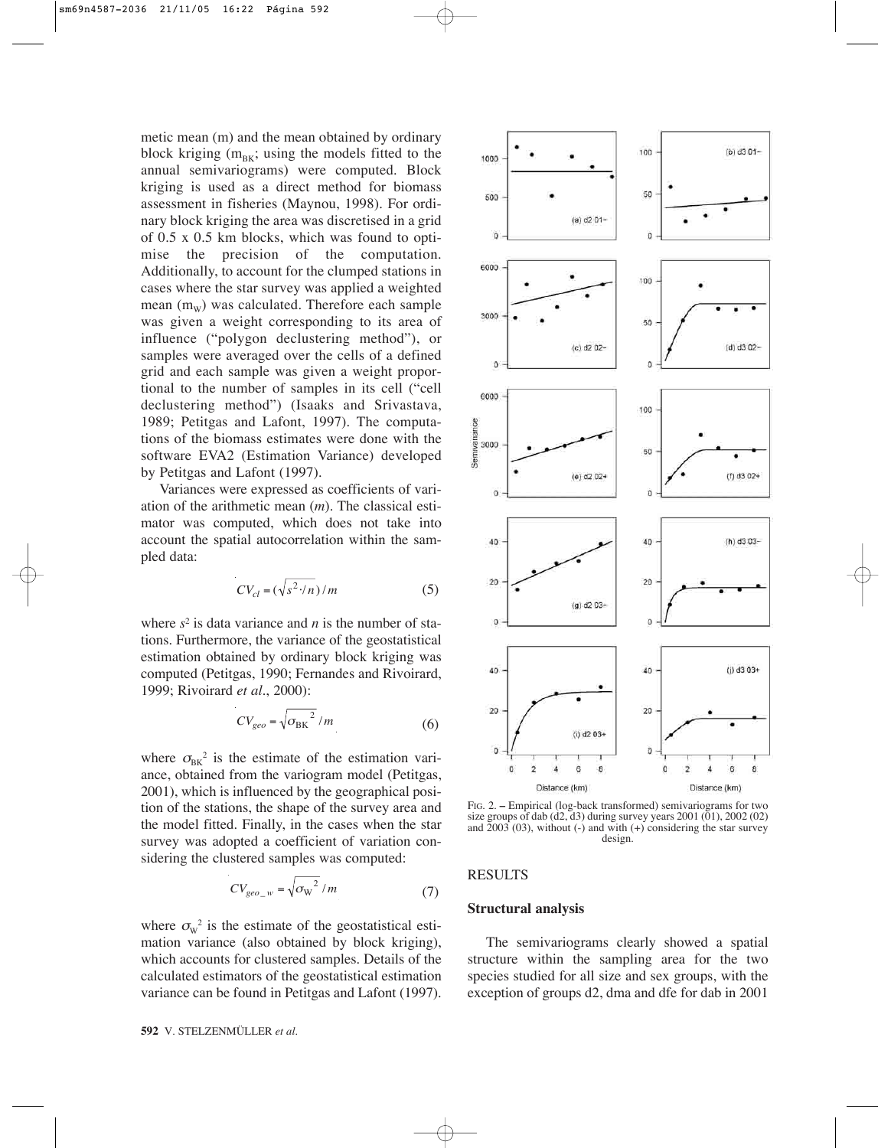metic mean (m) and the mean obtained by ordinary block kriging  $(m_{BK};$  using the models fitted to the annual semivariograms) were computed. Block kriging is used as a direct method for biomass assessment in fisheries (Maynou, 1998). For ordinary block kriging the area was discretised in a grid of 0.5 x 0.5 km blocks, which was found to optimise the precision of the computation. Additionally, to account for the clumped stations in cases where the star survey was applied a weighted mean  $(m_w)$  was calculated. Therefore each sample was given a weight corresponding to its area of influence ("polygon declustering method"), or samples were averaged over the cells of a defined grid and each sample was given a weight proportional to the number of samples in its cell ("cell declustering method") (Isaaks and Srivastava, 1989; Petitgas and Lafont, 1997). The computations of the biomass estimates were done with the software EVA2 (Estimation Variance) developed by Petitgas and Lafont (1997).

Variances were expressed as coefficients of variation of the arithmetic mean (*m*). The classical estimator was computed, which does not take into account the spatial autocorrelation within the sampled data:

$$
CV_{cl} = (\sqrt{s^2 \cdot / n}) / m
$$
 (5)

where  $s^2$  is data variance and *n* is the number of stations. Furthermore, the variance of the geostatistical estimation obtained by ordinary block kriging was computed (Petitgas, 1990; Fernandes and Rivoirard, 1999; Rivoirard *et al.*, 2000):

$$
CV_{geo} = \sqrt{{\sigma_{\rm BK}}^2 / m}
$$
 (6)

where  $\sigma_{\rm{BE}}^2$  is the estimate of the estimation variance, obtained from the variogram model (Petitgas, 2001), which is influenced by the geographical position of the stations, the shape of the survey area and the model fitted. Finally, in the cases when the star survey was adopted a coefficient of variation considering the clustered samples was computed:

$$
CV_{geo_{-}w} = \sqrt{{\sigma_w}^2 / m}
$$
 (7)

where  $\sigma_w^2$  is the estimate of the geostatistical estimation variance (also obtained by block kriging), which accounts for clustered samples. Details of the calculated estimators of the geostatistical estimation variance can be found in Petitgas and Lafont (1997).



FIG. 2. **–** Empirical (log-back transformed) semivariograms for two size groups of dab  $(d2, d3)$  during survey years  $2001 (01)$ ,  $2002 (02)$ and  $2003$  (03), without (-) and with (+) considering the star survey design.

### RESULTS

# **Structural analysis**

The semivariograms clearly showed a spatial structure within the sampling area for the two species studied for all size and sex groups, with the exception of groups d2, dma and dfe for dab in 2001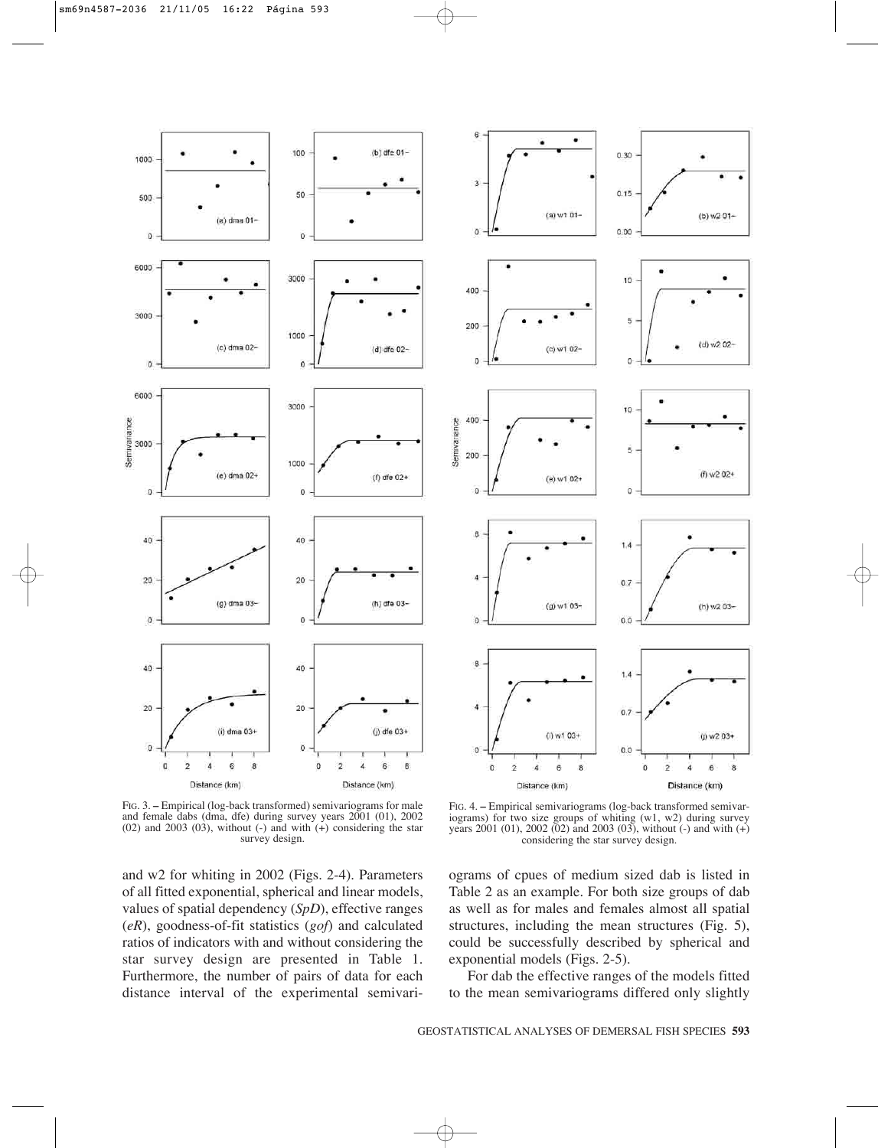

FIG. 3. **–** Empirical (log-back transformed) semivariograms for male and female dabs (dma, dfe) during survey years 2001 (01), 2002  $(02)$  and  $2003$   $(03)$ , without  $(-)$  and with  $(+)$  considering the star survey design.

and w2 for whiting in 2002 (Figs. 2-4). Parameters of all fitted exponential, spherical and linear models, values of spatial dependency (*SpD*), effective ranges (*eR*), goodness-of-fit statistics (*gof*) and calculated ratios of indicators with and without considering the star survey design are presented in Table 1. Furthermore, the number of pairs of data for each distance interval of the experimental semivari-



FIG. 4. **–** Empirical semivariograms (log-back transformed semivariograms) for two size groups of whiting (w1, w2) during survey years 2001 (01), 2002 (02) and 2003 (03), without (-) and with (+) considering the star survey design.

ograms of cpues of medium sized dab is listed in Table 2 as an example. For both size groups of dab as well as for males and females almost all spatial structures, including the mean structures (Fig. 5), could be successfully described by spherical and exponential models (Figs. 2-5).

For dab the effective ranges of the models fitted to the mean semivariograms differed only slightly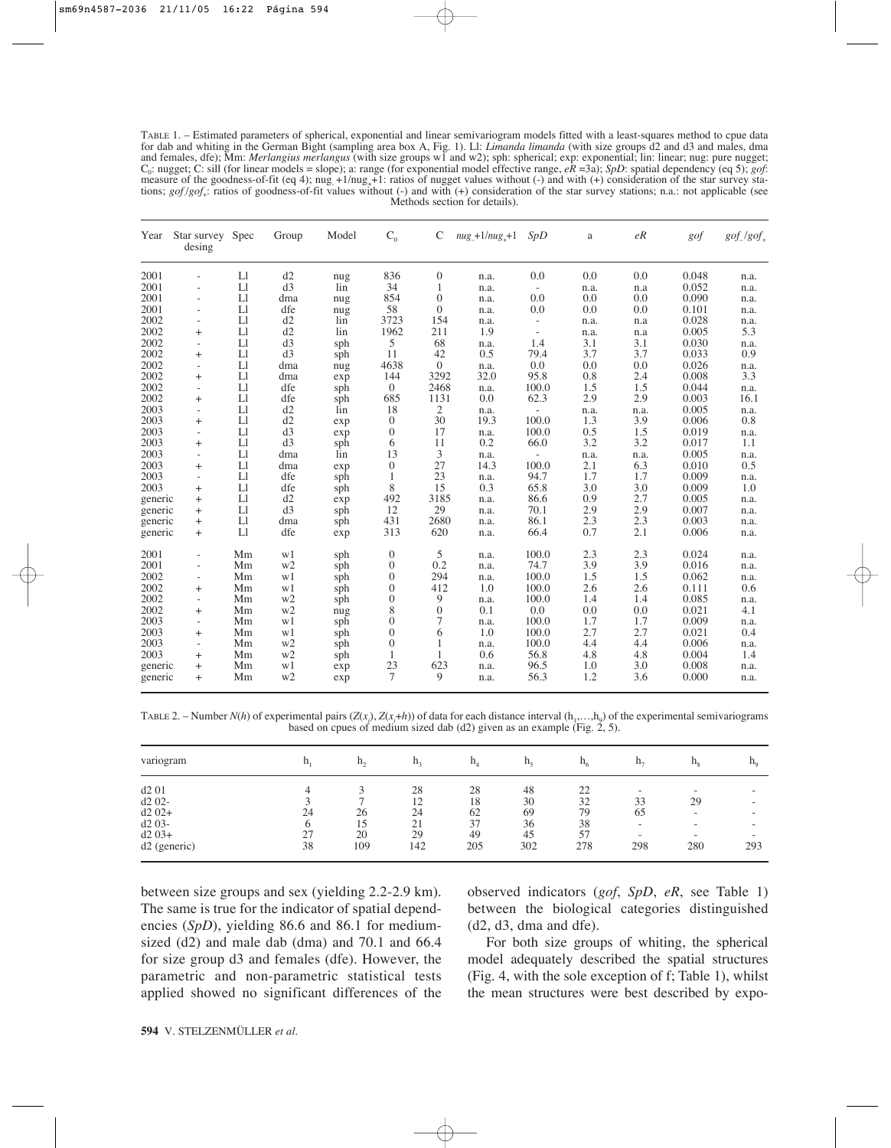TABLE 1. – Estimated parameters of spherical, exponential and linear semivariogram models fitted with a least-squares method to cpue data for dab and whiting in the German Bight (sampling area box A, Fig. 1). Ll: *Limanda limanda* (with size groups d2 and d3 and males, dma and females, dfe); Mm: *Merlangius merlangus* (with size groups w1 and w2); sph: spherical; exp: exponential; lin: linear; nug: pure nugget;  $C_0$ : nugget; C: sill (for linear models = slope); a: range (for exponential model effective range,  $eR = 3a$ ); *SpD*: spatial dependency (eq 5); *gof*: measure of the goodness-of-fit (eq 4); nug<sub>+1</sub>/nug<sub>++1</sub>: ratios of nugget values without (-) and with (+) consideration of the star survey stations; *gof*/*gof*<sub>+</sub>: ratios of goodness-of-fit values without (-) and with (+) consideration of the star survey stations; n.a.: not applicable (see Methods section for details).

| Year    | Star survey Spec<br>desing |    | Group | Model  | $C_0$            | C              | $nug + 1/nug + 1$ | SpD                      | a    | eR   | gof   | $gof_{-}/gof_{+}$ |
|---------|----------------------------|----|-------|--------|------------------|----------------|-------------------|--------------------------|------|------|-------|-------------------|
| 2001    |                            | Ll | d2    | nug    | 836              | $\mathbf{0}$   | n.a.              | 0.0                      | 0.0  | 0.0  | 0.048 | n.a.              |
| 2001    |                            | L1 | d3    | $\lim$ | 34               | 1              | n.a.              | $\overline{\phantom{a}}$ | n.a. | n.a  | 0.052 | n.a.              |
| 2001    | $\overline{a}$             | L1 | dma   | nug    | 854              | $\mathbf{0}$   | n.a.              | 0.0                      | 0.0  | 0.0  | 0.090 | n.a.              |
| 2001    | $\overline{a}$             | L1 | dfe   | nug    | 58               | $\Omega$       | n.a.              | 0.0                      | 0.0  | 0.0  | 0.101 | n.a.              |
| 2002    | ÷,                         | L1 | d2    | lin    | 3723             | 154            | n.a.              | $\overline{\phantom{a}}$ | n.a. | n.a  | 0.028 | n.a.              |
| 2002    | $^{+}$                     | Ll | d2    | lin    | 1962             | 211            | 1.9               | $\overline{\phantom{a}}$ | n.a. | n.a  | 0.005 | 5.3               |
| 2002    | $\overline{a}$             | L1 | d3    | sph    | 5                | 68             | n.a.              | 1.4                      | 3.1  | 3.1  | 0.030 | n.a.              |
| 2002    | $+$                        | L1 | d3    | sph    | 11               | 42             | 0.5               | 79.4                     | 3.7  | 3.7  | 0.033 | 0.9               |
| 2002    | $\overline{\phantom{a}}$   | L1 | dma   | nug    | 4638             | $\theta$       | n.a.              | 0.0                      | 0.0  | 0.0  | 0.026 | n.a.              |
| 2002    | $^{+}$                     | L1 | dma   | exp    | 144              | 3292           | 32.0              | 95.8                     | 0.8  | 2.4  | 0.008 | 3.3               |
| 2002    | $\overline{\phantom{a}}$   | L1 | dfe   | sph    | $\boldsymbol{0}$ | 2468           | n.a.              | 100.0                    | 1.5  | 1.5  | 0.044 | n.a.              |
| 2002    | $+$                        | L1 | dfe   | sph    | 685              | 1131           | 0.0               | 62.3                     | 2.9  | 2.9  | 0.003 | 16.1              |
| 2003    | $\overline{\phantom{a}}$   | L1 | d2    | lin    | 18               | 2              | n.a.              | $\overline{\phantom{a}}$ | n.a. | n.a. | 0.005 | n.a.              |
| 2003    | $+$                        | L1 | d2    | exp    | $\mathbf{0}$     | 30             | 19.3              | 100.0                    | 1.3  | 3.9  | 0.006 | 0.8               |
| 2003    | $\overline{\phantom{a}}$   | L1 | d3    | exp    | $\boldsymbol{0}$ | 17             | n.a.              | 100.0                    | 0.5  | 1.5  | 0.019 | n.a.              |
| 2003    | $+$                        | Ll | d3    | sph    | 6                | 11             | 0.2               | 66.0                     | 3.2  | 3.2  | 0.017 | 1.1               |
| 2003    | $\sim$                     | Ll | dma   | lin    | 13               | 3              | n.a.              |                          | n.a. | n.a. | 0.005 | n.a.              |
| 2003    | $+$                        | L1 | dma   | exp    | $\boldsymbol{0}$ | 27             | 14.3              | 100.0                    | 2.1  | 6.3  | 0.010 | 0.5               |
| 2003    | $\overline{a}$             | L1 | dfe   | sph    | $\mathbf{1}$     | 23             | n.a.              | 94.7                     | 1.7  | 1.7  | 0.009 | n.a.              |
| 2003    | $+$                        | L1 | dfe   | sph    | 8                | 15             | 0.3               | 65.8                     | 3.0  | 3.0  | 0.009 | 1.0               |
| generic | $+$                        | L1 | d2    | exp    | 492              | 3185           | n.a.              | 86.6                     | 0.9  | 2.7  | 0.005 | n.a.              |
| generic | $+$                        | L1 | d3    | sph    | 12               | 29             | n.a.              | 70.1                     | 2.9  | 2.9  | 0.007 | n.a.              |
| generic | $+$                        | L1 | dma   | sph    | 431              | 2680           | n.a.              | 86.1                     | 2.3  | 2.3  | 0.003 | n.a.              |
| generic | $+$                        | L1 | dfe   | exp    | 313              | 620            | n.a.              | 66.4                     | 0.7  | 2.1  | 0.006 | n.a.              |
| 2001    | $\overline{a}$             | Mm | w1    | sph    | $\mathbf{0}$     | 5              | n.a.              | 100.0                    | 2.3  | 2.3  | 0.024 | n.a.              |
| 2001    | $\overline{\phantom{a}}$   | Mm | w2    | sph    | $\boldsymbol{0}$ | 0.2            | n.a.              | 74.7                     | 3.9  | 3.9  | 0.016 | n.a.              |
| 2002    | $\overline{\phantom{a}}$   | Mm | w1    | sph    | $\boldsymbol{0}$ | 294            | n.a.              | 100.0                    | 1.5  | 1.5  | 0.062 | n.a.              |
| 2002    | $+$                        | Mm | w1    | sph    | $\boldsymbol{0}$ | 412            | 1.0               | 100.0                    | 2.6  | 2.6  | 0.111 | 0.6               |
| 2002    | $\overline{\phantom{a}}$   | Mm | w2    | sph    | $\boldsymbol{0}$ | 9              | n.a.              | 100.0                    | 1.4  | 1.4  | 0.085 | n.a.              |
| 2002    | $+$                        | Mm | w2    | nug    | 8                | $\overline{0}$ | 0.1               | 0.0                      | 0.0  | 0.0  | 0.021 | 4.1               |
| 2003    | $\overline{\phantom{a}}$   | Mm | w1    | sph    | $\boldsymbol{0}$ | 7              | n.a.              | 100.0                    | 1.7  | 1.7  | 0.009 | n.a.              |
| 2003    | $+$                        | Mm | w1    | sph    | $\boldsymbol{0}$ | 6              | 1.0               | 100.0                    | 2.7  | 2.7  | 0.021 | 0.4               |
| 2003    | $\overline{\phantom{a}}$   | Mm | w2    | sph    | $\boldsymbol{0}$ | 1              | n.a.              | 100.0                    | 4.4  | 4.4  | 0.006 | n.a.              |
| 2003    | $+$                        | Mm | w2    | sph    | 1                | 1              | 0.6               | 56.8                     | 4.8  | 4.8  | 0.004 | 1.4               |
| generic | $^{+}$                     | Mm | w1    | exp    | 23               | 623            | n.a.              | 96.5                     | 1.0  | 3.0  | 0.008 | n.a.              |
| generic | $^{+}$                     | Mm | w2    | exp    | 7                | 9              | n.a.              | 56.3                     | 1.2  | 3.6  | 0.000 | n.a.              |

TABLE 2. – Number  $N(h)$  of experimental pairs  $(Z(x_i), Z(x_i+h))$  of data for each distance interval  $(h_1,...,h_9)$  of the experimental semivariograms based on cpues of medium sized dab (d2) given as an example (Fig. 2, 5).

| variogram    |    | $h_{\gamma}$ | $\mathbf{u}$ | $\mathbf{H}_A$ | $\Pi_{\sigma}$ | $n_{\epsilon}$ | $n_{\tau}$               | $\mathbf{H}_{\mathbf{0}}$ | $n_{o}$ |
|--------------|----|--------------|--------------|----------------|----------------|----------------|--------------------------|---------------------------|---------|
| d201         |    |              | 28           | 28             | 48             | $\mathcal{D}$  | $\overline{\phantom{0}}$ | $\overline{\phantom{a}}$  |         |
| $d202-$      |    |              | 12           | 18             | 30             | 32             | 33                       | 29                        |         |
| $d202+$      | 24 | 26           | 24           | 62             | 69             | 79             | 65                       | $\overline{\phantom{a}}$  |         |
| $d203-$      |    | 15           | 21           | 37             | 36             | 38             | $\overline{\phantom{0}}$ | $\overline{\phantom{a}}$  |         |
| $d203+$      | 27 | 20           | 29           | 49             | 45             | 57             | $\overline{\phantom{0}}$ | $\overline{\phantom{a}}$  |         |
| d2 (generic) | 38 | 109          | 142          | 205            | 302            | 278            | 298                      | 280                       | 293     |

between size groups and sex (yielding 2.2-2.9 km). The same is true for the indicator of spatial dependencies (*SpD*), yielding 86.6 and 86.1 for mediumsized (d2) and male dab (dma) and 70.1 and 66.4 for size group d3 and females (dfe). However, the parametric and non-parametric statistical tests applied showed no significant differences of the observed indicators (*gof*, *SpD*, *eR*, see Table 1) between the biological categories distinguished  $(d2, d3, dma and dfe).$ 

For both size groups of whiting, the spherical model adequately described the spatial structures (Fig. 4, with the sole exception of f; Table 1), whilst the mean structures were best described by expo-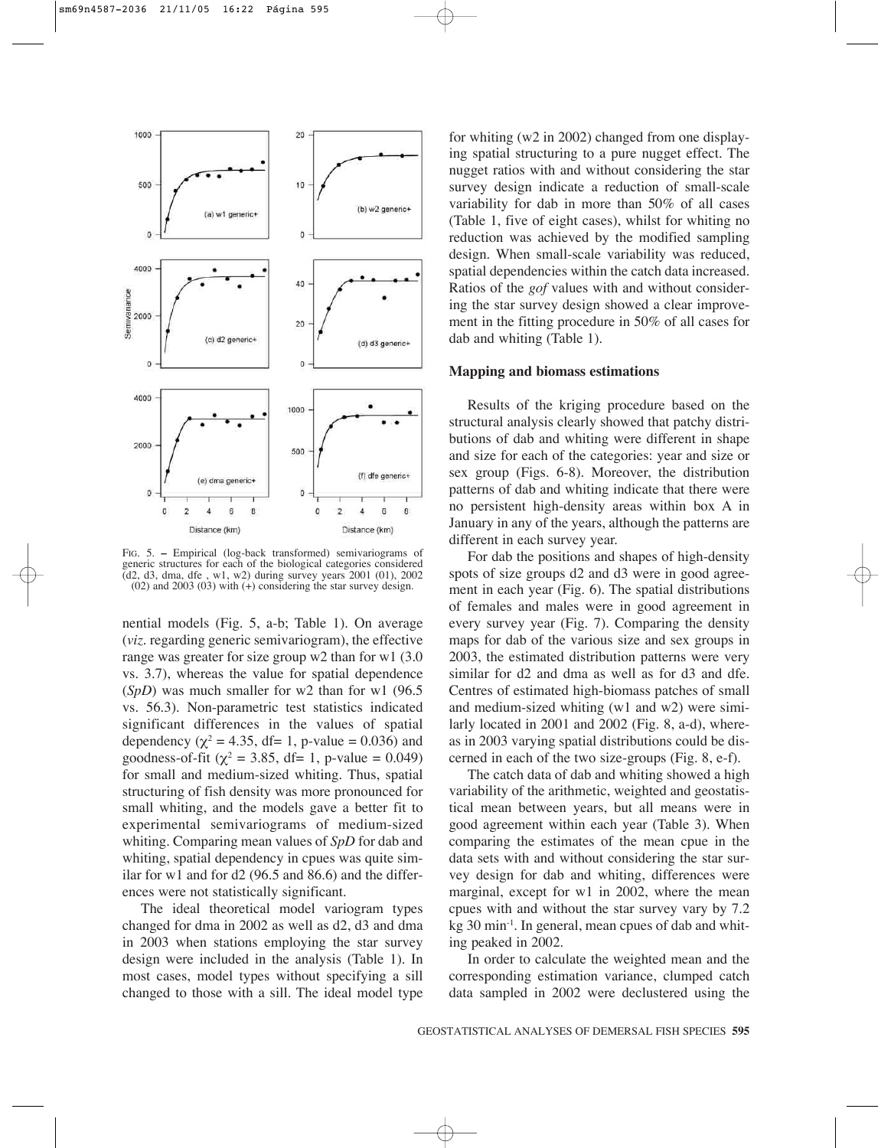

FIG. 5. **–** Empirical (log-back transformed) semivariograms of generic structures for each of the biological categories considered  $\overline{d}$ d2, d3, dma, dfe , w1, w2) during survey years 2001 (01), 2002 (02) and 2003 (03) with (+) considering the star survey design.

nential models (Fig. 5, a-b; Table 1). On average (*viz*. regarding generic semivariogram), the effective range was greater for size group w2 than for w1 (3.0 vs. 3.7), whereas the value for spatial dependence (*SpD*) was much smaller for w2 than for w1 (96.5 vs. 56.3). Non-parametric test statistics indicated significant differences in the values of spatial dependency ( $\chi^2$  = 4.35, df= 1, p-value = 0.036) and goodness-of-fit ( $\chi^2$  = 3.85, df= 1, p-value = 0.049) for small and medium-sized whiting. Thus, spatial structuring of fish density was more pronounced for small whiting, and the models gave a better fit to experimental semivariograms of medium-sized whiting. Comparing mean values of *SpD* for dab and whiting, spatial dependency in cpues was quite similar for w1 and for d2 (96.5 and 86.6) and the differences were not statistically significant.

The ideal theoretical model variogram types changed for dma in 2002 as well as d2, d3 and dma in 2003 when stations employing the star survey design were included in the analysis (Table 1). In most cases, model types without specifying a sill changed to those with a sill. The ideal model type

for whiting (w2 in 2002) changed from one displaying spatial structuring to a pure nugget effect. The nugget ratios with and without considering the star survey design indicate a reduction of small-scale variability for dab in more than 50% of all cases (Table 1, five of eight cases), whilst for whiting no reduction was achieved by the modified sampling design. When small-scale variability was reduced, spatial dependencies within the catch data increased. Ratios of the *gof* values with and without considering the star survey design showed a clear improvement in the fitting procedure in 50% of all cases for dab and whiting (Table 1).

#### **Mapping and biomass estimations**

Results of the kriging procedure based on the structural analysis clearly showed that patchy distributions of dab and whiting were different in shape and size for each of the categories: year and size or sex group (Figs. 6-8). Moreover, the distribution patterns of dab and whiting indicate that there were no persistent high-density areas within box A in January in any of the years, although the patterns are different in each survey year.

For dab the positions and shapes of high-density spots of size groups d2 and d3 were in good agreement in each year (Fig. 6). The spatial distributions of females and males were in good agreement in every survey year (Fig. 7). Comparing the density maps for dab of the various size and sex groups in 2003, the estimated distribution patterns were very similar for d2 and dma as well as for d3 and dfe. Centres of estimated high-biomass patches of small and medium-sized whiting (w1 and w2) were similarly located in 2001 and 2002 (Fig. 8, a-d), whereas in 2003 varying spatial distributions could be discerned in each of the two size-groups (Fig. 8, e-f).

The catch data of dab and whiting showed a high variability of the arithmetic, weighted and geostatistical mean between years, but all means were in good agreement within each year (Table 3). When comparing the estimates of the mean cpue in the data sets with and without considering the star survey design for dab and whiting, differences were marginal, except for w1 in 2002, where the mean cpues with and without the star survey vary by 7.2 kg 30 min-1. In general, mean cpues of dab and whiting peaked in 2002.

In order to calculate the weighted mean and the corresponding estimation variance, clumped catch data sampled in 2002 were declustered using the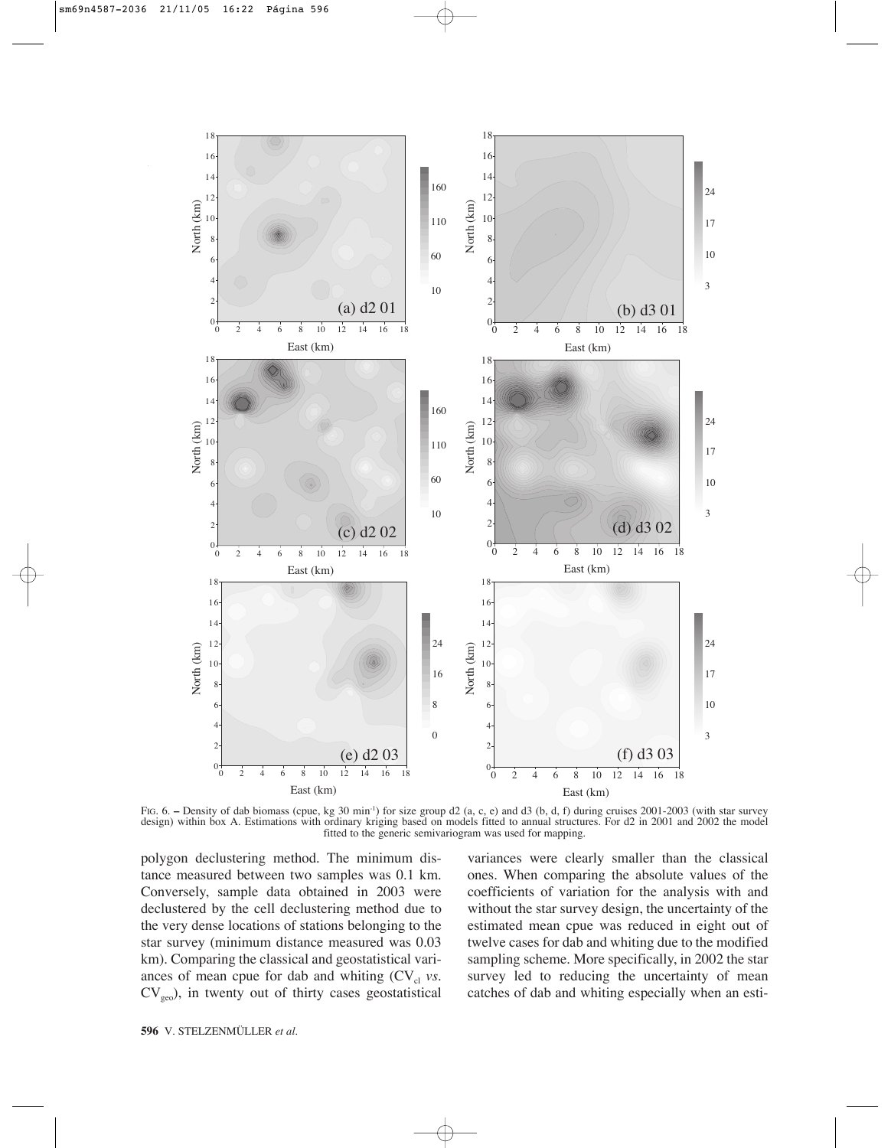

FIG. 6. – Density of dab biomass (cpue, kg 30 min<sup>-1</sup>) for size group d2 (a, c, e) and d3 (b, d, f) during cruises 2001-2003 (with star survey design) within box A. Estimations with ordinary kriging based on models fitted to annual structures. For d2 in 2001 and 2002 the model fitted to the generic semivariogram was used for mapping.

polygon declustering method. The minimum distance measured between two samples was 0.1 km. Conversely, sample data obtained in 2003 were declustered by the cell declustering method due to the very dense locations of stations belonging to the star survey (minimum distance measured was 0.03 km). Comparing the classical and geostatistical variances of mean cpue for dab and whiting  $(CV_{cl}$  *vs.*  $CV<sub>geo</sub>$ , in twenty out of thirty cases geostatistical

variances were clearly smaller than the classical ones. When comparing the absolute values of the coefficients of variation for the analysis with and without the star survey design, the uncertainty of the estimated mean cpue was reduced in eight out of twelve cases for dab and whiting due to the modified sampling scheme. More specifically, in 2002 the star survey led to reducing the uncertainty of mean catches of dab and whiting especially when an esti-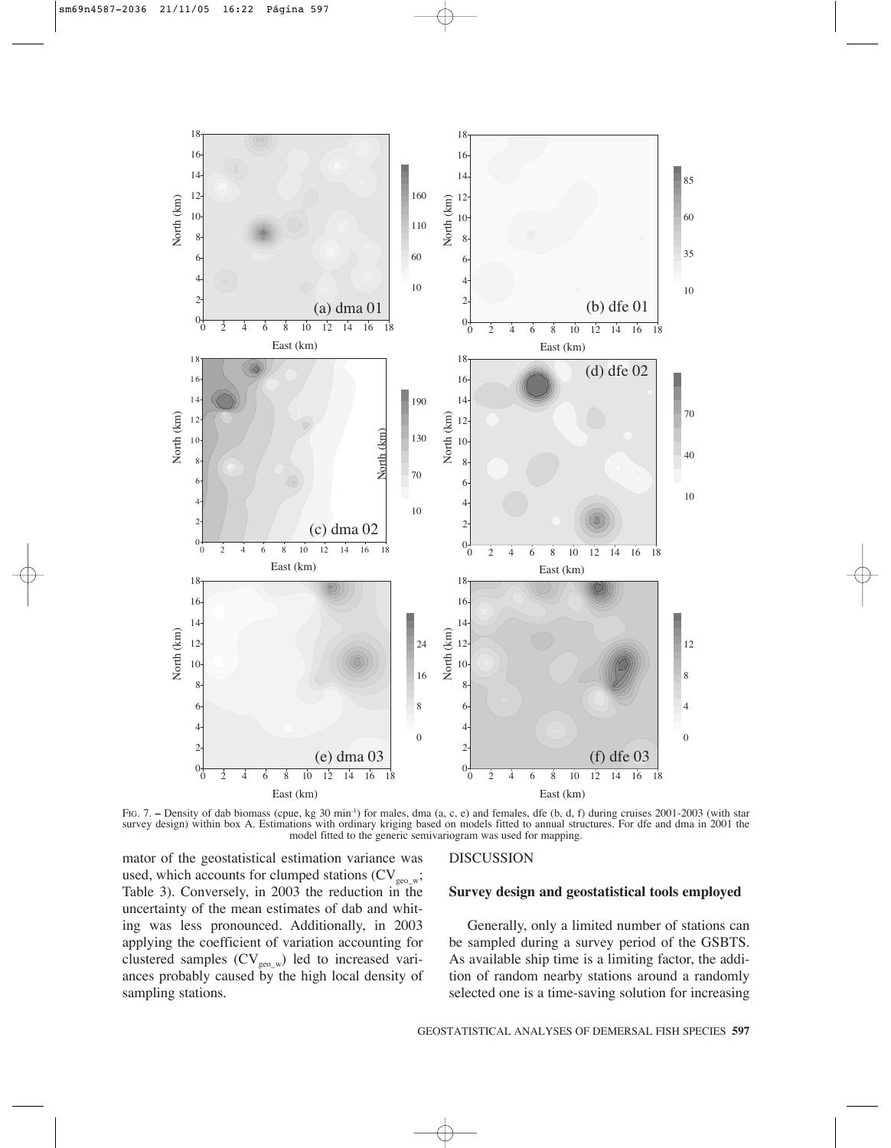

FIG. 7. – Density of dab biomass (cpue, kg 30 min<sup>-1</sup>) for males, dma (a, c, e) and females, dfe (b, d, f) during cruises 2001-2003 (with star survey design) within box A. Estimations with ordinary kriging based on models fitted to annual structures. For dfe and dma in 2001 the model fitted to the generic semivariogram was used for mapping.

mator of the geostatistical estimation variance was used, which accounts for clumped stations  $(CV_{geo_w};$ Table 3). Conversely, in 2003 the reduction in the uncertainty of the mean estimates of dab and whiting was less pronounced. Additionally, in 2003 applying the coefficient of variation accounting for clustered samples  $(CV_{geo_w})$  led to increased variances probably caused by the high local density of sampling stations.

#### DISCUSSION

## **Survey design and geostatistical tools employed**

Generally, only a limited number of stations can be sampled during a survey period of the GSBTS. As available ship time is a limiting factor, the addition of random nearby stations around a randomly selected one is a time-saving solution for increasing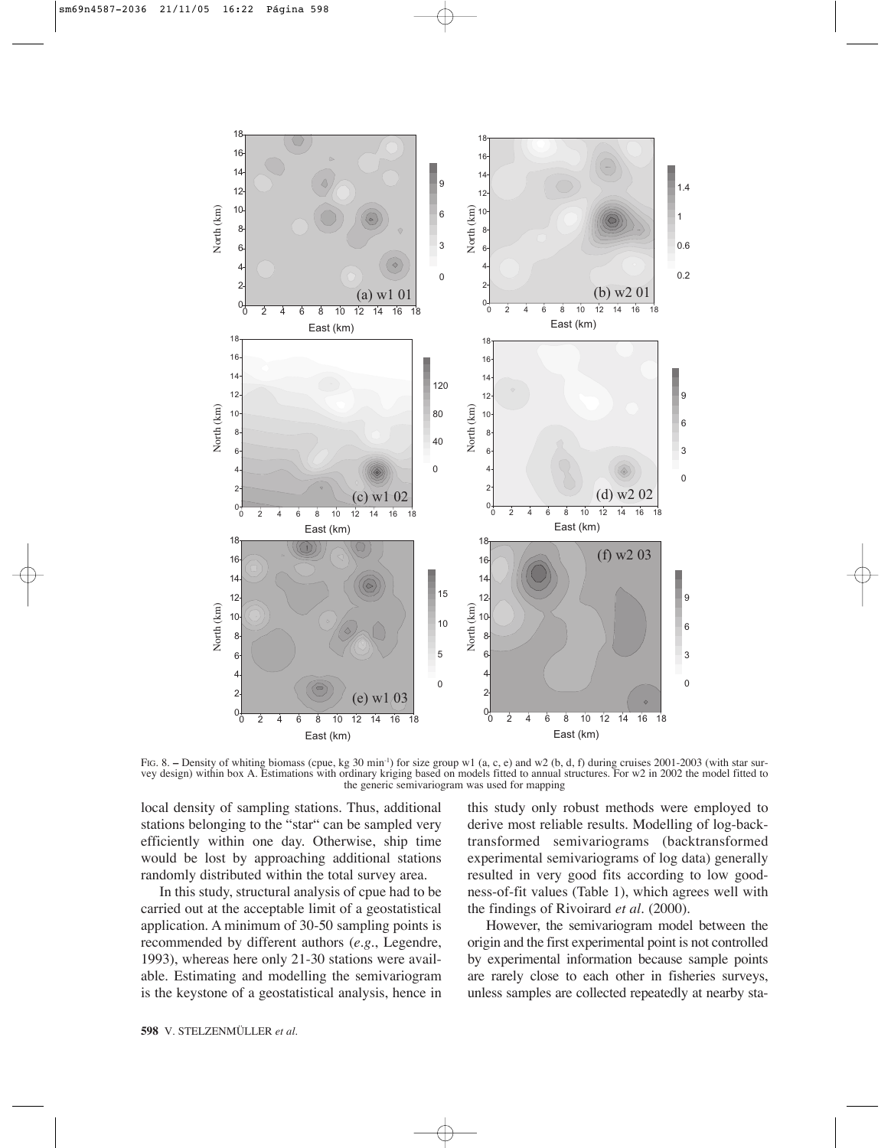

FIG. 8. - Density of whiting biomass (cpue, kg 30 min<sup>-1</sup>) for size group w1 (a, c, e) and w2 (b, d, f) during cruises 2001-2003 (with star survey design) within box A. Estimations with ordinary kriging based on models fitted to annual structures. For w2 in 2002 the model fitted to the generic semivariogram was used for mapping

local density of sampling stations. Thus, additional stations belonging to the "star" can be sampled very efficiently within one day. Otherwise, ship time would be lost by approaching additional stations randomly distributed within the total survey area.

In this study, structural analysis of cpue had to be carried out at the acceptable limit of a geostatistical application. A minimum of 30-50 sampling points is recommended by different authors (*e.g.*, Legendre, 1993), whereas here only 21-30 stations were available. Estimating and modelling the semivariogram is the keystone of a geostatistical analysis, hence in this study only robust methods were employed to derive most reliable results. Modelling of log-backtransformed semivariograms (backtransformed experimental semivariograms of log data) generally resulted in very good fits according to low goodness-of-fit values (Table 1), which agrees well with the findings of Rivoirard *et al.* (2000).

However, the semivariogram model between the origin and the first experimental point is not controlled by experimental information because sample points are rarely close to each other in fisheries surveys, unless samples are collected repeatedly at nearby sta-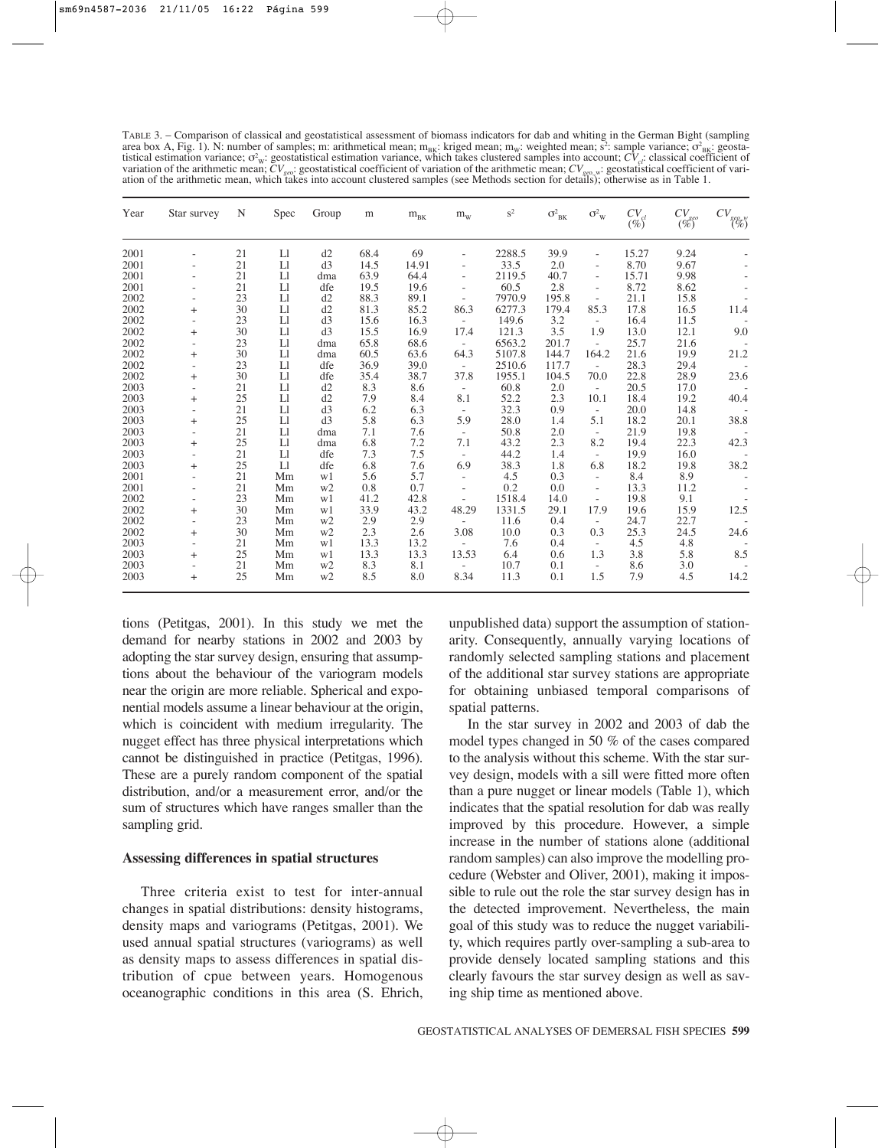TABLE 3. – Comparison of classical and geostatistical assessment of biomass indicators for dab and whiting in the German Bight (sampling area box A, Fig. 1). N: number of samples; m: arithmetical mean; m<sub>BK</sub>: kriged mean; m<sub>w</sub>: weighted mean; s<sup>2</sup>: sample variance;  $\sigma_{BK}^2$  geostatistical estimation variance;  $\sigma_w$ : geostatistical estimation variance, which takes clustered samples into account;  $CV_{ci}$  classical coefficient of variation of the arithmetic mean;  $CV_{\text{geo}}$ : geostatistical coefficient of variation of the arithmetic mean;  $CV_{\text{geo}}$  : geostatistical coefficient of vari-<br>ation of the arithmetic mean, which takes into account clustered

| Year | Star survey              | N  | Spec | Group          | m    | $m_{BK}$ | $\rm m_{\rm w}$          | $s^2$  | $\sigma^2_{\text{BK}}$ | $\sigma_{\rm W}^2$       | $CV_{cl}$<br>$(\%)$ | $CV_{geo}$<br>$(\%)$ | $CV_{\genfrac{}{}{0pt}{}{geo_w}{(\mathcal{V}_o)} }$ |
|------|--------------------------|----|------|----------------|------|----------|--------------------------|--------|------------------------|--------------------------|---------------------|----------------------|-----------------------------------------------------|
| 2001 |                          | 21 | Ll   | d2             | 68.4 | 69       |                          | 2288.5 | 39.9                   | $\overline{a}$           | 15.27               | 9.24                 |                                                     |
| 2001 |                          | 21 | L1   | d3             | 14.5 | 14.91    |                          | 33.5   | 2.0                    |                          | 8.70                | 9.67                 |                                                     |
| 2001 |                          | 21 | L1   | dma            | 63.9 | 64.4     |                          | 2119.5 | 40.7                   | $\overline{\phantom{a}}$ | 15.71               | 9.98                 |                                                     |
| 2001 |                          | 21 | L1   | dfe            | 19.5 | 19.6     |                          | 60.5   | 2.8                    | $\overline{\phantom{a}}$ | 8.72                | 8.62                 |                                                     |
| 2002 |                          | 23 | L1   | d2             | 88.3 | 89.1     |                          | 7970.9 | 195.8                  | $\overline{\phantom{a}}$ | 21.1                | 15.8                 |                                                     |
| 2002 | $\ddot{}$                | 30 | L1   | d2             | 81.3 | 85.2     | 86.3                     | 6277.3 | 179.4                  | 85.3                     | 17.8                | 16.5                 | 11.4                                                |
| 2002 |                          | 23 | L1   | d3             | 15.6 | 16.3     | $\sim$                   | 149.6  | 3.2                    | $\overline{\phantom{a}}$ | 16.4                | 11.5                 |                                                     |
| 2002 | $^+$                     | 30 | L1   | d3             | 15.5 | 16.9     | 17.4                     | 121.3  | 3.5                    | 1.9                      | 13.0                | 12.1                 | 9.0                                                 |
| 2002 |                          | 23 | L1   | dma            | 65.8 | 68.6     | $\sim$                   | 6563.2 | 201.7                  | $\overline{\phantom{a}}$ | 25.7                | 21.6                 |                                                     |
| 2002 | $\ddot{}$                | 30 | L1   | dma            | 60.5 | 63.6     | 64.3                     | 5107.8 | 144.7                  | 164.2                    | 21.6                | 19.9                 | 21.2                                                |
| 2002 | $\overline{a}$           | 23 | L1   | dfe            | 36.9 | 39.0     | $\sim$                   | 2510.6 | 117.7                  | $\overline{\phantom{a}}$ | 28.3                | 29.4                 |                                                     |
| 2002 | $\ddot{}$                | 30 | L1   | dfe            | 35.4 | 38.7     | 37.8                     | 1955.1 | 104.5                  | 70.0                     | 22.8                | 28.9                 | 23.6                                                |
| 2003 | $\overline{a}$           | 21 | L1   | d2             | 8.3  | 8.6      | $\overline{\phantom{a}}$ | 60.8   | 2.0                    | $\overline{\phantom{a}}$ | 20.5                | 17.0                 |                                                     |
| 2003 | $^+$                     | 25 | L1   | d2             | 7.9  | 8.4      | 8.1                      | 52.2   | 2.3                    | 10.1                     | 18.4                | 19.2                 | 40.4                                                |
| 2003 | $\overline{\phantom{a}}$ | 21 | L1   | d <sub>3</sub> | 6.2  | 6.3      | $\overline{\phantom{a}}$ | 32.3   | 0.9                    | $\overline{\phantom{a}}$ | 20.0                | 14.8                 |                                                     |
| 2003 | $\ddot{}$                | 25 | L1   | d <sub>3</sub> | 5.8  | 6.3      | 5.9                      | 28.0   | 1.4                    | 5.1                      | 18.2                | 20.1                 | 38.8                                                |
| 2003 |                          | 21 | L1   | dma            | 7.1  | 7.6      | $\overline{\phantom{a}}$ | 50.8   | 2.0                    | $\overline{\phantom{a}}$ | 21.9                | 19.8                 |                                                     |
| 2003 | $\ddot{}$                | 25 | L1   | dma            | 6.8  | 7.2      | 7.1                      | 43.2   | 2.3                    | 8.2                      | 19.4                | 22.3                 | 42.3                                                |
| 2003 |                          | 21 | L1   | dfe            | 7.3  | 7.5      | $\overline{\phantom{a}}$ | 44.2   | 1.4                    | $\overline{\phantom{a}}$ | 19.9                | 16.0                 |                                                     |
| 2003 | $\ddot{}$                | 25 | L1   | dfe            | 6.8  | 7.6      | 6.9                      | 38.3   | 1.8                    | 6.8                      | 18.2                | 19.8                 | 38.2                                                |
| 2001 |                          | 21 | Mm   | w1             | 5.6  | 5.7      | ÷                        | 4.5    | 0.3                    | $\overline{\phantom{a}}$ | 8.4                 | 8.9                  |                                                     |
| 2001 |                          | 21 | Mm   | w <sub>2</sub> | 0.8  | 0.7      |                          | 0.2    | 0.0                    | $\overline{\phantom{a}}$ | 13.3                | 11.2                 |                                                     |
| 2002 | $\overline{\phantom{a}}$ | 23 | Mm   | w1             | 41.2 | 42.8     |                          | 1518.4 | 14.0                   | $\overline{\phantom{a}}$ | 19.8                | 9.1                  |                                                     |
| 2002 | $\ddot{}$                | 30 | Mm   | w1             | 33.9 | 43.2     | 48.29                    | 1331.5 | 29.1                   | 17.9                     | 19.6                | 15.9                 | 12.5                                                |
| 2002 |                          | 23 | Mm   | w <sub>2</sub> | 2.9  | 2.9      |                          | 11.6   | 0.4                    | $\overline{\phantom{a}}$ | 24.7                | 22.7                 |                                                     |
| 2002 | $\ddot{}$                | 30 | Mm   | w <sub>2</sub> | 2.3  | 2.6      | 3.08                     | 10.0   | 0.3                    | 0.3                      | 25.3                | 24.5                 | 24.6                                                |
| 2003 | ۰                        | 21 | Mm   | w1             | 13.3 | 13.2     |                          | 7.6    | 0.4                    | $\overline{\phantom{a}}$ | 4.5                 | 4.8                  |                                                     |
| 2003 | $\ddot{}$                | 25 | Mm   | w1             | 13.3 | 13.3     | 13.53                    | 6.4    | 0.6                    | 1.3                      | 3.8                 | 5.8                  | 8.5                                                 |
| 2003 |                          | 21 | Mm   | w <sub>2</sub> | 8.3  | 8.1      |                          | 10.7   | 0.1                    | $\overline{\phantom{a}}$ | 8.6                 | 3.0                  |                                                     |
| 2003 | $\ddot{}$                | 25 | Mm   | w2             | 8.5  | 8.0      | 8.34                     | 11.3   | 0.1                    | 1.5                      | 7.9                 | 4.5                  | 14.2                                                |

tions (Petitgas, 2001). In this study we met the demand for nearby stations in 2002 and 2003 by adopting the star survey design, ensuring that assumptions about the behaviour of the variogram models near the origin are more reliable. Spherical and exponential models assume a linear behaviour at the origin, which is coincident with medium irregularity. The nugget effect has three physical interpretations which cannot be distinguished in practice (Petitgas, 1996). These are a purely random component of the spatial distribution, and/or a measurement error, and/or the sum of structures which have ranges smaller than the sampling grid.

## **Assessing differences in spatial structures**

Three criteria exist to test for inter-annual changes in spatial distributions: density histograms, density maps and variograms (Petitgas, 2001). We used annual spatial structures (variograms) as well as density maps to assess differences in spatial distribution of cpue between years. Homogenous oceanographic conditions in this area (S. Ehrich, unpublished data) support the assumption of stationarity. Consequently, annually varying locations of randomly selected sampling stations and placement of the additional star survey stations are appropriate for obtaining unbiased temporal comparisons of spatial patterns.

In the star survey in 2002 and 2003 of dab the model types changed in 50 % of the cases compared to the analysis without this scheme. With the star survey design, models with a sill were fitted more often than a pure nugget or linear models (Table 1), which indicates that the spatial resolution for dab was really improved by this procedure. However, a simple increase in the number of stations alone (additional random samples) can also improve the modelling procedure (Webster and Oliver, 2001), making it impossible to rule out the role the star survey design has in the detected improvement. Nevertheless, the main goal of this study was to reduce the nugget variability, which requires partly over-sampling a sub-area to provide densely located sampling stations and this clearly favours the star survey design as well as saving ship time as mentioned above.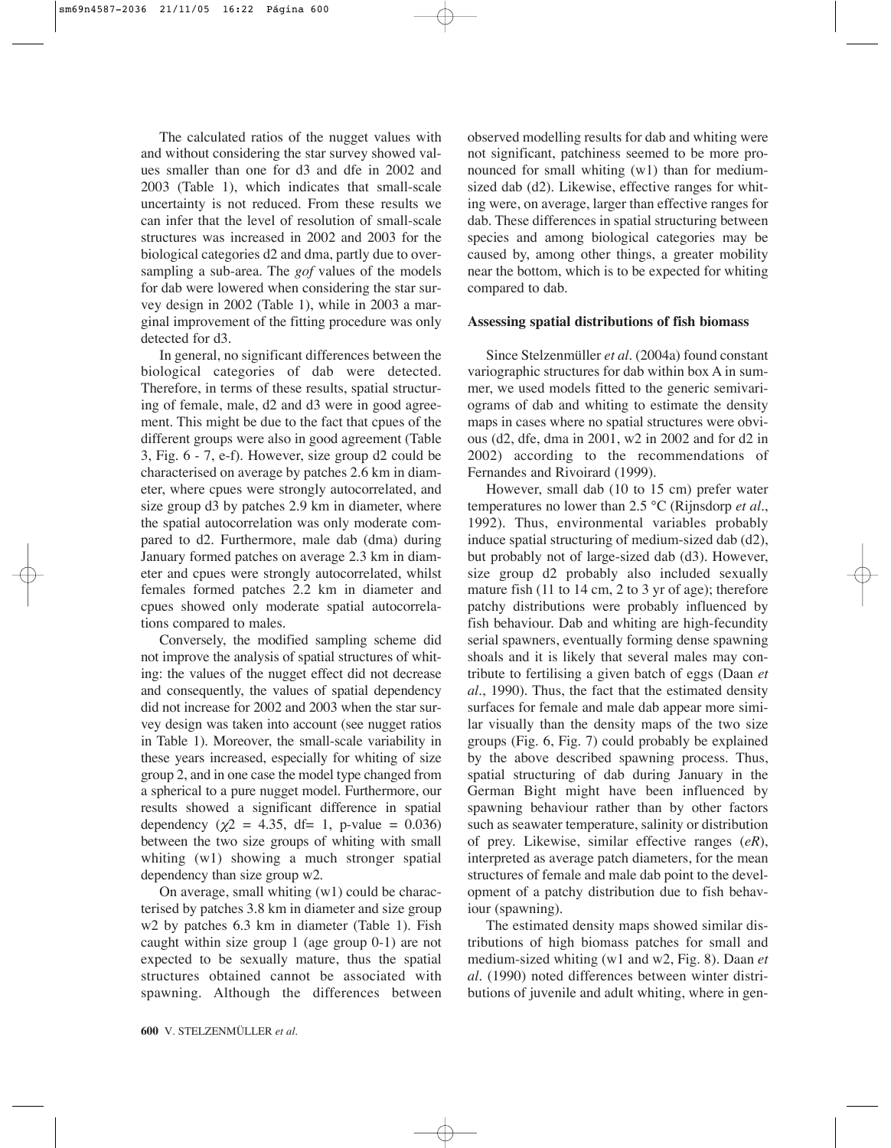The calculated ratios of the nugget values with and without considering the star survey showed values smaller than one for d3 and dfe in 2002 and 2003 (Table 1), which indicates that small-scale uncertainty is not reduced. From these results we can infer that the level of resolution of small-scale structures was increased in 2002 and 2003 for the biological categories d2 and dma, partly due to oversampling a sub-area. The *gof* values of the models for dab were lowered when considering the star survey design in 2002 (Table 1), while in 2003 a marginal improvement of the fitting procedure was only detected for d3.

In general, no significant differences between the biological categories of dab were detected. Therefore, in terms of these results, spatial structuring of female, male, d2 and d3 were in good agreement. This might be due to the fact that cpues of the different groups were also in good agreement (Table 3, Fig. 6 - 7, e-f). However, size group d2 could be characterised on average by patches 2.6 km in diameter, where cpues were strongly autocorrelated, and size group d3 by patches 2.9 km in diameter, where the spatial autocorrelation was only moderate compared to d2. Furthermore, male dab (dma) during January formed patches on average 2.3 km in diameter and cpues were strongly autocorrelated, whilst females formed patches 2.2 km in diameter and cpues showed only moderate spatial autocorrelations compared to males.

Conversely, the modified sampling scheme did not improve the analysis of spatial structures of whiting: the values of the nugget effect did not decrease and consequently, the values of spatial dependency did not increase for 2002 and 2003 when the star survey design was taken into account (see nugget ratios in Table 1). Moreover, the small-scale variability in these years increased, especially for whiting of size group 2, and in one case the model type changed from a spherical to a pure nugget model. Furthermore, our results showed a significant difference in spatial dependency ( $\chi$ 2 = 4.35, df= 1, p-value = 0.036) between the two size groups of whiting with small whiting (w1) showing a much stronger spatial dependency than size group w2.

On average, small whiting (w1) could be characterised by patches 3.8 km in diameter and size group w2 by patches 6.3 km in diameter (Table 1). Fish caught within size group 1 (age group 0-1) are not expected to be sexually mature, thus the spatial structures obtained cannot be associated with spawning. Although the differences between observed modelling results for dab and whiting were not significant, patchiness seemed to be more pronounced for small whiting (w1) than for mediumsized dab (d2). Likewise, effective ranges for whiting were, on average, larger than effective ranges for dab. These differences in spatial structuring between species and among biological categories may be caused by, among other things, a greater mobility near the bottom, which is to be expected for whiting compared to dab.

## **Assessing spatial distributions of fish biomass**

Since Stelzenmüller *et al.* (2004a) found constant variographic structures for dab within box A in summer, we used models fitted to the generic semivariograms of dab and whiting to estimate the density maps in cases where no spatial structures were obvious (d2, dfe, dma in 2001, w2 in 2002 and for d2 in 2002) according to the recommendations of Fernandes and Rivoirard (1999).

However, small dab (10 to 15 cm) prefer water temperatures no lower than 2.5 °C (Rijnsdorp *et al.*, 1992). Thus, environmental variables probably induce spatial structuring of medium-sized dab (d2), but probably not of large-sized dab (d3). However, size group d2 probably also included sexually mature fish (11 to 14 cm, 2 to 3 yr of age); therefore patchy distributions were probably influenced by fish behaviour. Dab and whiting are high-fecundity serial spawners, eventually forming dense spawning shoals and it is likely that several males may contribute to fertilising a given batch of eggs (Daan *et al.*, 1990). Thus, the fact that the estimated density surfaces for female and male dab appear more similar visually than the density maps of the two size groups (Fig. 6, Fig. 7) could probably be explained by the above described spawning process. Thus, spatial structuring of dab during January in the German Bight might have been influenced by spawning behaviour rather than by other factors such as seawater temperature, salinity or distribution of prey. Likewise, similar effective ranges (*eR*), interpreted as average patch diameters, for the mean structures of female and male dab point to the development of a patchy distribution due to fish behaviour (spawning).

The estimated density maps showed similar distributions of high biomass patches for small and medium-sized whiting (w1 and w2, Fig. 8). Daan *et al.* (1990) noted differences between winter distributions of juvenile and adult whiting, where in gen-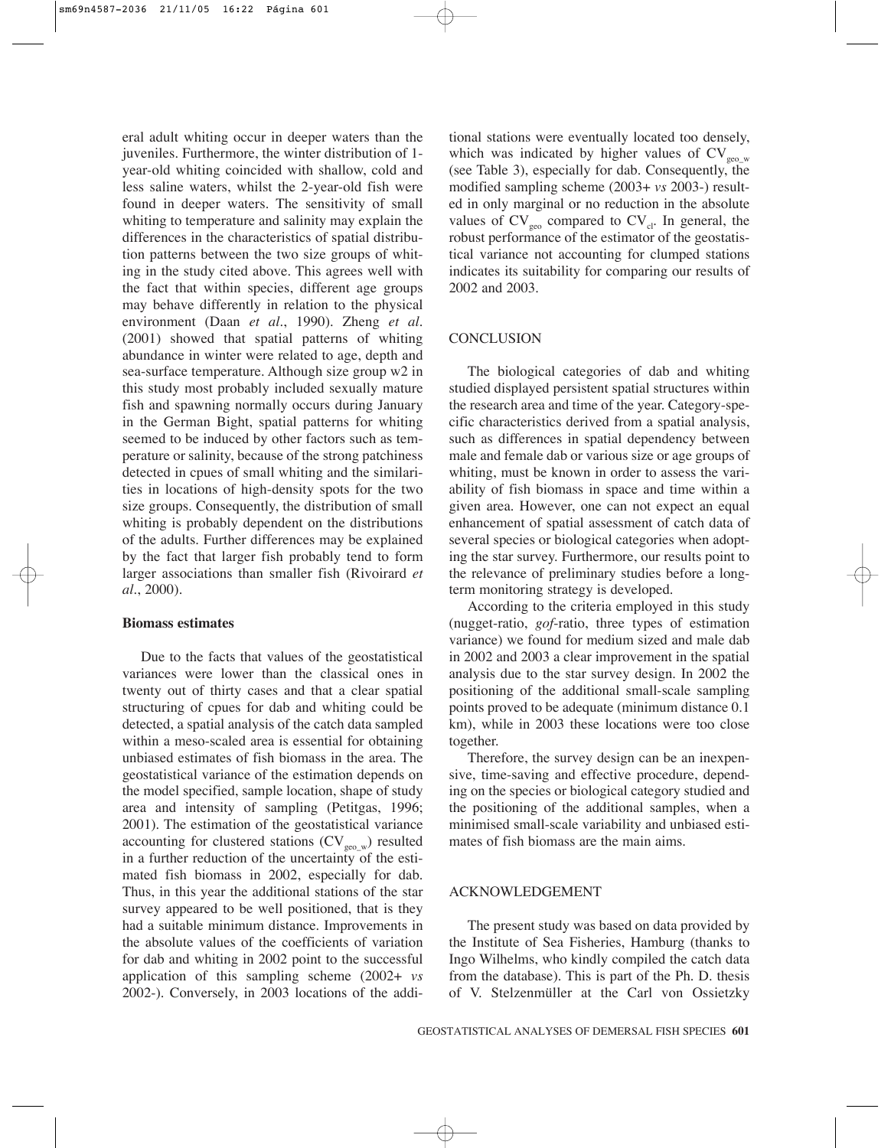eral adult whiting occur in deeper waters than the juveniles. Furthermore, the winter distribution of 1 year-old whiting coincided with shallow, cold and less saline waters, whilst the 2-year-old fish were found in deeper waters. The sensitivity of small whiting to temperature and salinity may explain the differences in the characteristics of spatial distribution patterns between the two size groups of whiting in the study cited above. This agrees well with the fact that within species, different age groups may behave differently in relation to the physical environment (Daan *et al.*, 1990). Zheng *et al.* (2001) showed that spatial patterns of whiting abundance in winter were related to age, depth and sea-surface temperature. Although size group w2 in this study most probably included sexually mature fish and spawning normally occurs during January in the German Bight, spatial patterns for whiting seemed to be induced by other factors such as temperature or salinity, because of the strong patchiness detected in cpues of small whiting and the similarities in locations of high-density spots for the two size groups. Consequently, the distribution of small whiting is probably dependent on the distributions of the adults. Further differences may be explained by the fact that larger fish probably tend to form larger associations than smaller fish (Rivoirard *et al.*, 2000).

#### **Biomass estimates**

Due to the facts that values of the geostatistical variances were lower than the classical ones in twenty out of thirty cases and that a clear spatial structuring of cpues for dab and whiting could be detected, a spatial analysis of the catch data sampled within a meso-scaled area is essential for obtaining unbiased estimates of fish biomass in the area. The geostatistical variance of the estimation depends on the model specified, sample location, shape of study area and intensity of sampling (Petitgas, 1996; 2001). The estimation of the geostatistical variance accounting for clustered stations  $(CV_{geo,w})$  resulted in a further reduction of the uncertainty of the estimated fish biomass in 2002, especially for dab. Thus, in this year the additional stations of the star survey appeared to be well positioned, that is they had a suitable minimum distance. Improvements in the absolute values of the coefficients of variation for dab and whiting in 2002 point to the successful application of this sampling scheme (2002+ *vs* 2002-). Conversely, in 2003 locations of the additional stations were eventually located too densely, which was indicated by higher values of  $CV_{\text{geo},w}$ (see Table 3), especially for dab. Consequently, the modified sampling scheme (2003+ *vs* 2003-) resulted in only marginal or no reduction in the absolute values of  $CV_{\text{geo}}$  compared to  $CV_{\text{cl}}$ . In general, the robust performance of the estimator of the geostatistical variance not accounting for clumped stations indicates its suitability for comparing our results of 2002 and 2003.

#### **CONCLUSION**

The biological categories of dab and whiting studied displayed persistent spatial structures within the research area and time of the year. Category-specific characteristics derived from a spatial analysis, such as differences in spatial dependency between male and female dab or various size or age groups of whiting, must be known in order to assess the variability of fish biomass in space and time within a given area. However, one can not expect an equal enhancement of spatial assessment of catch data of several species or biological categories when adopting the star survey. Furthermore, our results point to the relevance of preliminary studies before a longterm monitoring strategy is developed.

According to the criteria employed in this study (nugget-ratio, *gof*-ratio, three types of estimation variance) we found for medium sized and male dab in 2002 and 2003 a clear improvement in the spatial analysis due to the star survey design. In 2002 the positioning of the additional small-scale sampling points proved to be adequate (minimum distance 0.1 km), while in 2003 these locations were too close together.

Therefore, the survey design can be an inexpensive, time-saving and effective procedure, depending on the species or biological category studied and the positioning of the additional samples, when a minimised small-scale variability and unbiased estimates of fish biomass are the main aims.

# ACKNOWLEDGEMENT

The present study was based on data provided by the Institute of Sea Fisheries, Hamburg (thanks to Ingo Wilhelms, who kindly compiled the catch data from the database). This is part of the Ph. D. thesis of V. Stelzenmüller at the Carl von Ossietzky